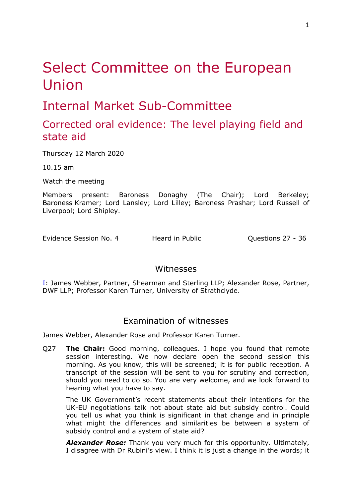# Select Committee on the European Union

# Internal Market Sub-Committee

# Corrected oral evidence: The level playing field and state aid

Thursday 12 March 2020

10.15 am

Watch the meeting

Members present: Baroness Donaghy (The Chair); Lord Berkeley; Baroness Kramer; Lord Lansley; Lord Lilley; Baroness Prashar; Lord Russell of Liverpool; Lord Shipley.

Evidence Session No. 4 Heard in Public Cuestions 27 - 36

### Witnesses

[I:](#page-0-0) James Webber, Partner, Shearman and Sterling LLP; Alexander Rose, Partner, DWF LLP; Professor Karen Turner, University of Strathclyde.

## <span id="page-0-0"></span>Examination of witnesses

James Webber, Alexander Rose and Professor Karen Turner.

Q27 **The Chair:** Good morning, colleagues. I hope you found that remote session interesting. We now declare open the second session this morning. As you know, this will be screened; it is for public reception. A transcript of the session will be sent to you for scrutiny and correction, should you need to do so. You are very welcome, and we look forward to hearing what you have to say.

The UK Government's recent statements about their intentions for the UK-EU negotiations talk not about state aid but subsidy control. Could you tell us what you think is significant in that change and in principle what might the differences and similarities be between a system of subsidy control and a system of state aid?

*Alexander Rose:* Thank you very much for this opportunity. Ultimately, I disagree with Dr Rubini's view. I think it is just a change in the words; it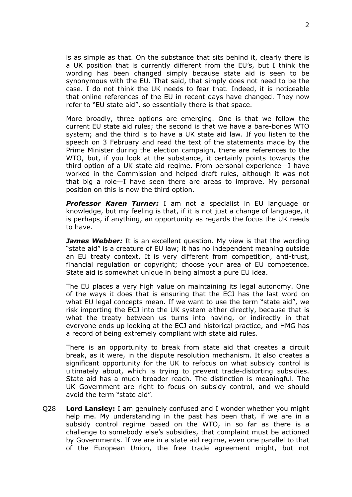is as simple as that. On the substance that sits behind it, clearly there is a UK position that is currently different from the EU's, but I think the wording has been changed simply because state aid is seen to be synonymous with the EU. That said, that simply does not need to be the case. I do not think the UK needs to fear that. Indeed, it is noticeable that online references of the EU in recent days have changed. They now refer to "EU state aid", so essentially there is that space.

More broadly, three options are emerging. One is that we follow the current EU state aid rules; the second is that we have a bare-bones WTO system; and the third is to have a UK state aid law. If you listen to the speech on 3 February and read the text of the statements made by the Prime Minister during the election campaign, there are references to the WTO, but, if you look at the substance, it certainly points towards the third option of a UK state aid regime. From personal experience—I have worked in the Commission and helped draft rules, although it was not that big a role—I have seen there are areas to improve. My personal position on this is now the third option.

*Professor Karen Turner:* I am not a specialist in EU language or knowledge, but my feeling is that, if it is not just a change of language, it is perhaps, if anything, an opportunity as regards the focus the UK needs to have.

*James Webber:* It is an excellent question. My view is that the wording "state aid" is a creature of EU law; it has no independent meaning outside an EU treaty context. It is very different from competition, anti-trust, financial regulation or copyright; choose your area of EU competence. State aid is somewhat unique in being almost a pure EU idea.

The EU places a very high value on maintaining its legal autonomy. One of the ways it does that is ensuring that the ECJ has the last word on what EU legal concepts mean. If we want to use the term "state aid", we risk importing the ECJ into the UK system either directly, because that is what the treaty between us turns into having, or indirectly in that everyone ends up looking at the ECJ and historical practice, and HMG has a record of being extremely compliant with state aid rules.

There is an opportunity to break from state aid that creates a circuit break, as it were, in the dispute resolution mechanism. It also creates a significant opportunity for the UK to refocus on what subsidy control is ultimately about, which is trying to prevent trade-distorting subsidies. State aid has a much broader reach. The distinction is meaningful. The UK Government are right to focus on subsidy control, and we should avoid the term "state aid".

Q28 **Lord Lansley:** I am genuinely confused and I wonder whether you might help me. My understanding in the past has been that, if we are in a subsidy control regime based on the WTO, in so far as there is a challenge to somebody else's subsidies, that complaint must be actioned by Governments. If we are in a state aid regime, even one parallel to that of the European Union, the free trade agreement might, but not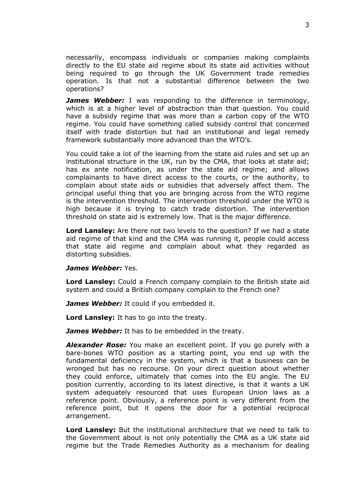necessarily, encompass individuals or companies making complaints directly to the EU state aid regime about its state aid activities without being required to go through the UK Government trade remedies operation. Is that not a substantial difference between the two operations?

*James Webber:* I was responding to the difference in terminology, which is at a higher level of abstraction than that question. You could have a subsidy regime that was more than a carbon copy of the WTO regime. You could have something called subsidy control that concerned itself with trade distortion but had an institutional and legal remedy framework substantially more advanced than the WTO's.

You could take a lot of the learning from the state aid rules and set up an institutional structure in the UK, run by the CMA, that looks at state aid; has ex ante notification, as under the state aid regime; and allows complainants to have direct access to the courts, or the authority, to complain about state aids or subsidies that adversely affect them. The principal useful thing that you are bringing across from the WTO regime is the intervention threshold. The intervention threshold under the WTO is high because it is trying to catch trade distortion. The intervention threshold on state aid is extremely low. That is the major difference.

**Lord Lansley:** Are there not two levels to the question? If we had a state aid regime of that kind and the CMA was running it, people could access that state aid regime and complain about what they regarded as distorting subsidies.

### *James Webber:* Yes.

**Lord Lansley:** Could a French company complain to the British state aid system and could a British company complain to the French one?

*James Webber:* It could if you embedded it.

**Lord Lansley:** It has to go into the treaty.

*James Webber:* It has to be embedded in the treaty.

*Alexander Rose:* You make an excellent point. If you go purely with a bare-bones WTO position as a starting point, you end up with the fundamental deficiency in the system, which is that a business can be wronged but has no recourse. On your direct question about whether they could enforce, ultimately that comes into the EU angle. The EU position currently, according to its latest directive, is that it wants a UK system adequately resourced that uses European Union laws as a reference point. Obviously, a reference point is very different from the reference point, but it opens the door for a potential reciprocal arrangement.

**Lord Lansley:** But the institutional architecture that we need to talk to the Government about is not only potentially the CMA as a UK state aid regime but the Trade Remedies Authority as a mechanism for dealing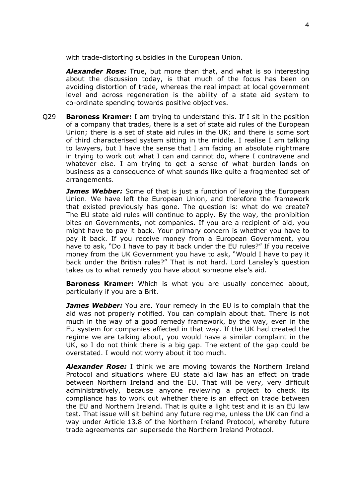with trade-distorting subsidies in the European Union.

*Alexander Rose:* True, but more than that, and what is so interesting about the discussion today, is that much of the focus has been on avoiding distortion of trade, whereas the real impact at local government level and across regeneration is the ability of a state aid system to co-ordinate spending towards positive objectives.

Q29 **Baroness Kramer:** I am trying to understand this. If I sit in the position of a company that trades, there is a set of state aid rules of the European Union; there is a set of state aid rules in the UK; and there is some sort of third characterised system sitting in the middle. I realise I am talking to lawyers, but I have the sense that I am facing an absolute nightmare in trying to work out what I can and cannot do, where I contravene and whatever else. I am trying to get a sense of what burden lands on business as a consequence of what sounds like quite a fragmented set of arrangements.

*James Webber:* Some of that is just a function of leaving the European Union. We have left the European Union, and therefore the framework that existed previously has gone. The question is: what do we create? The EU state aid rules will continue to apply. By the way, the prohibition bites on Governments, not companies. If you are a recipient of aid, you might have to pay it back. Your primary concern is whether you have to pay it back. If you receive money from a European Government, you have to ask, "Do I have to pay it back under the EU rules?" If you receive money from the UK Government you have to ask, "Would I have to pay it back under the British rules?" That is not hard. Lord Lansley's question takes us to what remedy you have about someone else's aid.

**Baroness Kramer:** Which is what you are usually concerned about, particularly if you are a Brit.

*James Webber:* You are. Your remedy in the EU is to complain that the aid was not properly notified. You can complain about that. There is not much in the way of a good remedy framework, by the way, even in the EU system for companies affected in that way. If the UK had created the regime we are talking about, you would have a similar complaint in the UK, so I do not think there is a big gap. The extent of the gap could be overstated. I would not worry about it too much.

*Alexander Rose:* I think we are moving towards the Northern Ireland Protocol and situations where EU state aid law has an effect on trade between Northern Ireland and the EU. That will be very, very difficult administratively, because anyone reviewing a project to check its compliance has to work out whether there is an effect on trade between the EU and Northern Ireland. That is quite a light test and it is an EU law test. That issue will sit behind any future regime, unless the UK can find a way under Article 13.8 of the Northern Ireland Protocol, whereby future trade agreements can supersede the Northern Ireland Protocol.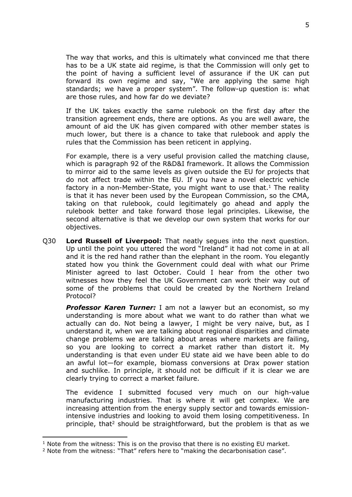The way that works, and this is ultimately what convinced me that there has to be a UK state aid regime, is that the Commission will only get to the point of having a sufficient level of assurance if the UK can put forward its own regime and say, "We are applying the same high standards; we have a proper system". The follow-up question is: what are those rules, and how far do we deviate?

If the UK takes exactly the same rulebook on the first day after the transition agreement ends, there are options. As you are well aware, the amount of aid the UK has given compared with other member states is much lower, but there is a chance to take that rulebook and apply the rules that the Commission has been reticent in applying.

For example, there is a very useful provision called the matching clause, which is paragraph 92 of the R&D&I framework. It allows the Commission to mirror aid to the same levels as given outside the EU for projects that do not affect trade within the EU. If you have a novel electric vehicle factory in a non-Member-State, you might want to use that.<sup>1</sup> The reality is that it has never been used by the European Commission, so the CMA, taking on that rulebook, could legitimately go ahead and apply the rulebook better and take forward those legal principles. Likewise, the second alternative is that we develop our own system that works for our objectives.

Q30 **Lord Russell of Liverpool:** That neatly segues into the next question. Up until the point you uttered the word "Ireland" it had not come in at all and it is the red hand rather than the elephant in the room. You elegantly stated how you think the Government could deal with what our Prime Minister agreed to last October. Could I hear from the other two witnesses how they feel the UK Government can work their way out of some of the problems that could be created by the Northern Ireland Protocol?

*Professor Karen Turner:* I am not a lawyer but an economist, so my understanding is more about what we want to do rather than what we actually can do. Not being a lawyer, I might be very naive, but, as I understand it, when we are talking about regional disparities and climate change problems we are talking about areas where markets are failing, so you are looking to correct a market rather than distort it. My understanding is that even under EU state aid we have been able to do an awful lot—for example, biomass conversions at Drax power station and suchlike. In principle, it should not be difficult if it is clear we are clearly trying to correct a market failure.

The evidence I submitted focused very much on our high-value manufacturing industries. That is where it will get complex. We are increasing attention from the energy supply sector and towards emissionintensive industries and looking to avoid them losing competitiveness. In principle, that<sup>2</sup> should be straightforward, but the problem is that as we

 $1$  Note from the witness: This is on the proviso that there is no existing EU market.

<sup>&</sup>lt;sup>2</sup> Note from the witness: "That" refers here to "making the decarbonisation case".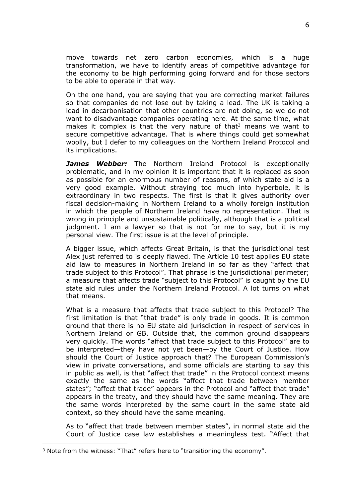move towards net zero carbon economies, which is a huge transformation, we have to identify areas of competitive advantage for the economy to be high performing going forward and for those sectors to be able to operate in that way.

On the one hand, you are saying that you are correcting market failures so that companies do not lose out by taking a lead. The UK is taking a lead in decarbonisation that other countries are not doing, so we do not want to disadvantage companies operating here. At the same time, what makes it complex is that the very nature of that<sup>3</sup> means we want to secure competitive advantage. That is where things could get somewhat woolly, but I defer to my colleagues on the Northern Ireland Protocol and its implications.

*James Webber:* The Northern Ireland Protocol is exceptionally problematic, and in my opinion it is important that it is replaced as soon as possible for an enormous number of reasons, of which state aid is a very good example. Without straying too much into hyperbole, it is extraordinary in two respects. The first is that it gives authority over fiscal decision-making in Northern Ireland to a wholly foreign institution in which the people of Northern Ireland have no representation. That is wrong in principle and unsustainable politically, although that is a political judgment. I am a lawyer so that is not for me to say, but it is my personal view. The first issue is at the level of principle.

A bigger issue, which affects Great Britain, is that the jurisdictional test Alex just referred to is deeply flawed. The Article 10 test applies EU state aid law to measures in Northern Ireland in so far as they "affect that trade subject to this Protocol". That phrase is the jurisdictional perimeter; a measure that affects trade "subject to this Protocol" is caught by the EU state aid rules under the Northern Ireland Protocol. A lot turns on what that means.

What is a measure that affects that trade subject to this Protocol? The first limitation is that "that trade" is only trade in goods. It is common ground that there is no EU state aid jurisdiction in respect of services in Northern Ireland or GB. Outside that, the common ground disappears very quickly. The words "affect that trade subject to this Protocol" are to be interpreted—they have not yet been—by the Court of Justice. How should the Court of Justice approach that? The European Commission's view in private conversations, and some officials are starting to say this in public as well, is that "affect that trade" in the Protocol context means exactly the same as the words "affect that trade between member states"; "affect that trade" appears in the Protocol and "affect that trade" appears in the treaty, and they should have the same meaning. They are the same words interpreted by the same court in the same state aid context, so they should have the same meaning.

As to "affect that trade between member states", in normal state aid the Court of Justice case law establishes a meaningless test. "Affect that

<sup>&</sup>lt;sup>3</sup> Note from the witness: "That" refers here to "transitioning the economy".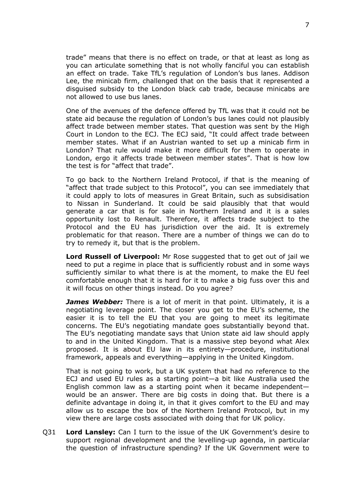trade" means that there is no effect on trade, or that at least as long as you can articulate something that is not wholly fanciful you can establish an effect on trade. Take TfL's regulation of London's bus lanes. Addison Lee, the minicab firm, challenged that on the basis that it represented a disguised subsidy to the London black cab trade, because minicabs are not allowed to use bus lanes.

One of the avenues of the defence offered by TfL was that it could not be state aid because the regulation of London's bus lanes could not plausibly affect trade between member states. That question was sent by the High Court in London to the ECJ. The ECJ said, "It could affect trade between member states. What if an Austrian wanted to set up a minicab firm in London? That rule would make it more difficult for them to operate in London, ergo it affects trade between member states". That is how low the test is for "affect that trade".

To go back to the Northern Ireland Protocol, if that is the meaning of "affect that trade subject to this Protocol", you can see immediately that it could apply to lots of measures in Great Britain, such as subsidisation to Nissan in Sunderland. It could be said plausibly that that would generate a car that is for sale in Northern Ireland and it is a sales opportunity lost to Renault. Therefore, it affects trade subject to the Protocol and the EU has jurisdiction over the aid. It is extremely problematic for that reason. There are a number of things we can do to try to remedy it, but that is the problem.

**Lord Russell of Liverpool:** Mr Rose suggested that to get out of jail we need to put a regime in place that is sufficiently robust and in some ways sufficiently similar to what there is at the moment, to make the EU feel comfortable enough that it is hard for it to make a big fuss over this and it will focus on other things instead. Do you agree?

*James Webber:* There is a lot of merit in that point. Ultimately, it is a negotiating leverage point. The closer you get to the EU's scheme, the easier it is to tell the EU that you are going to meet its legitimate concerns. The EU's negotiating mandate goes substantially beyond that. The EU's negotiating mandate says that Union state aid law should apply to and in the United Kingdom. That is a massive step beyond what Alex proposed. It is about EU law in its entirety—procedure, institutional framework, appeals and everything—applying in the United Kingdom.

That is not going to work, but a UK system that had no reference to the ECJ and used EU rules as a starting point—a bit like Australia used the English common law as a starting point when it became independent would be an answer. There are big costs in doing that. But there is a definite advantage in doing it, in that it gives comfort to the EU and may allow us to escape the box of the Northern Ireland Protocol, but in my view there are large costs associated with doing that for UK policy.

Q31 **Lord Lansley:** Can I turn to the issue of the UK Government's desire to support regional development and the levelling-up agenda, in particular the question of infrastructure spending? If the UK Government were to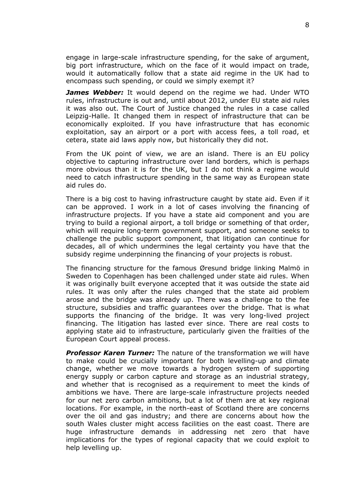engage in large-scale infrastructure spending, for the sake of argument, big port infrastructure, which on the face of it would impact on trade, would it automatically follow that a state aid regime in the UK had to encompass such spending, or could we simply exempt it?

*James Webber:* It would depend on the regime we had. Under WTO rules, infrastructure is out and, until about 2012, under EU state aid rules it was also out. The Court of Justice changed the rules in a case called Leipzig-Halle. It changed them in respect of infrastructure that can be economically exploited. If you have infrastructure that has economic exploitation, say an airport or a port with access fees, a toll road, et cetera, state aid laws apply now, but historically they did not.

From the UK point of view, we are an island. There is an EU policy objective to capturing infrastructure over land borders, which is perhaps more obvious than it is for the UK, but I do not think a regime would need to catch infrastructure spending in the same way as European state aid rules do.

There is a big cost to having infrastructure caught by state aid. Even if it can be approved. I work in a lot of cases involving the financing of infrastructure projects. If you have a state aid component and you are trying to build a regional airport, a toll bridge or something of that order, which will require long-term government support, and someone seeks to challenge the public support component, that litigation can continue for decades, all of which undermines the legal certainty you have that the subsidy regime underpinning the financing of your projects is robust.

The financing structure for the famous Øresund bridge linking Malmö in Sweden to Copenhagen has been challenged under state aid rules. When it was originally built everyone accepted that it was outside the state aid rules. It was only after the rules changed that the state aid problem arose and the bridge was already up. There was a challenge to the fee structure, subsidies and traffic guarantees over the bridge. That is what supports the financing of the bridge. It was very long-lived project financing. The litigation has lasted ever since. There are real costs to applying state aid to infrastructure, particularly given the frailties of the European Court appeal process.

*Professor Karen Turner:* The nature of the transformation we will have to make could be crucially important for both levelling-up and climate change, whether we move towards a hydrogen system of supporting energy supply or carbon capture and storage as an industrial strategy, and whether that is recognised as a requirement to meet the kinds of ambitions we have. There are large-scale infrastructure projects needed for our net zero carbon ambitions, but a lot of them are at key regional locations. For example, in the north-east of Scotland there are concerns over the oil and gas industry; and there are concerns about how the south Wales cluster might access facilities on the east coast. There are huge infrastructure demands in addressing net zero that have implications for the types of regional capacity that we could exploit to help levelling up.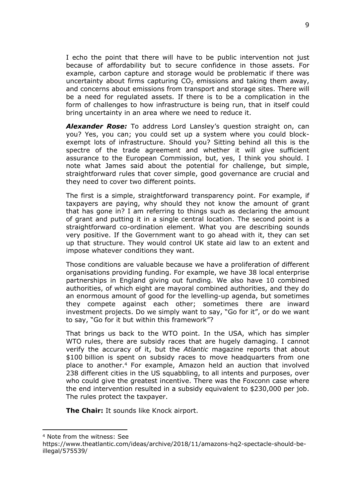I echo the point that there will have to be public intervention not just because of affordability but to secure confidence in those assets. For example, carbon capture and storage would be problematic if there was uncertainty about firms capturing  $CO<sub>2</sub>$  emissions and taking them away, and concerns about emissions from transport and storage sites. There will be a need for regulated assets. If there is to be a complication in the form of challenges to how infrastructure is being run, that in itself could bring uncertainty in an area where we need to reduce it.

*Alexander Rose:* To address Lord Lansley's question straight on, can you? Yes, you can; you could set up a system where you could blockexempt lots of infrastructure. Should you? Sitting behind all this is the spectre of the trade agreement and whether it will give sufficient assurance to the European Commission, but, yes, I think you should. I note what James said about the potential for challenge, but simple, straightforward rules that cover simple, good governance are crucial and they need to cover two different points.

The first is a simple, straightforward transparency point. For example, if taxpayers are paying, why should they not know the amount of grant that has gone in? I am referring to things such as declaring the amount of grant and putting it in a single central location. The second point is a straightforward co-ordination element. What you are describing sounds very positive. If the Government want to go ahead with it, they can set up that structure. They would control UK state aid law to an extent and impose whatever conditions they want.

Those conditions are valuable because we have a proliferation of different organisations providing funding. For example, we have 38 local enterprise partnerships in England giving out funding. We also have 10 combined authorities, of which eight are mayoral combined authorities, and they do an enormous amount of good for the levelling-up agenda, but sometimes they compete against each other; sometimes there are inward investment projects. Do we simply want to say, "Go for it", or do we want to say, "Go for it but within this framework"?

That brings us back to the WTO point. In the USA, which has simpler WTO rules, there are subsidy races that are hugely damaging. I cannot verify the accuracy of it, but the *Atlantic* magazine reports that about \$100 billion is spent on subsidy races to move headquarters from one place to another.<sup>4</sup> For example, Amazon held an auction that involved 238 different cities in the US squabbling, to all intents and purposes, over who could give the greatest incentive. There was the Foxconn case where the end intervention resulted in a subsidy equivalent to \$230,000 per job. The rules protect the taxpayer.

**The Chair:** It sounds like Knock airport.

<sup>4</sup> Note from the witness: See

https://www.theatlantic.com/ideas/archive/2018/11/amazons-hq2-spectacle-should-beillegal/575539/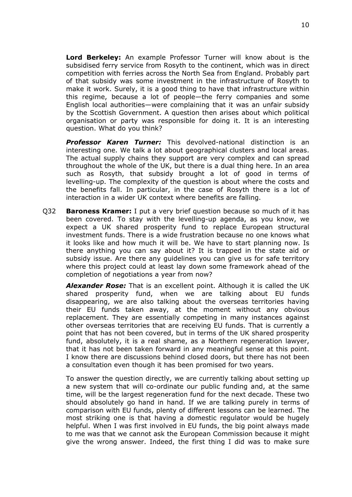**Lord Berkeley:** An example Professor Turner will know about is the subsidised ferry service from Rosyth to the continent, which was in direct competition with ferries across the North Sea from England. Probably part of that subsidy was some investment in the infrastructure of Rosyth to make it work. Surely, it is a good thing to have that infrastructure within this regime, because a lot of people—the ferry companies and some English local authorities—were complaining that it was an unfair subsidy by the Scottish Government. A question then arises about which political organisation or party was responsible for doing it. It is an interesting question. What do you think?

*Professor Karen Turner:* This devolved-national distinction is an interesting one. We talk a lot about geographical clusters and local areas. The actual supply chains they support are very complex and can spread throughout the whole of the UK, but there is a dual thing here. In an area such as Rosyth, that subsidy brought a lot of good in terms of levelling-up. The complexity of the question is about where the costs and the benefits fall. In particular, in the case of Rosyth there is a lot of interaction in a wider UK context where benefits are falling.

Q32 **Baroness Kramer:** I put a very brief question because so much of it has been covered. To stay with the levelling-up agenda, as you know, we expect a UK shared prosperity fund to replace European structural investment funds. There is a wide frustration because no one knows what it looks like and how much it will be. We have to start planning now. Is there anything you can say about it? It is trapped in the state aid or subsidy issue. Are there any guidelines you can give us for safe territory where this project could at least lay down some framework ahead of the completion of negotiations a year from now?

*Alexander Rose:* That is an excellent point. Although it is called the UK shared prosperity fund, when we are talking about EU funds disappearing, we are also talking about the overseas territories having their EU funds taken away, at the moment without any obvious replacement. They are essentially competing in many instances against other overseas territories that are receiving EU funds. That is currently a point that has not been covered, but in terms of the UK shared prosperity fund, absolutely, it is a real shame, as a Northern regeneration lawyer, that it has not been taken forward in any meaningful sense at this point. I know there are discussions behind closed doors, but there has not been a consultation even though it has been promised for two years.

To answer the question directly, we are currently talking about setting up a new system that will co-ordinate our public funding and, at the same time, will be the largest regeneration fund for the next decade. These two should absolutely go hand in hand. If we are talking purely in terms of comparison with EU funds, plenty of different lessons can be learned. The most striking one is that having a domestic regulator would be hugely helpful. When I was first involved in EU funds, the big point always made to me was that we cannot ask the European Commission because it might give the wrong answer. Indeed, the first thing I did was to make sure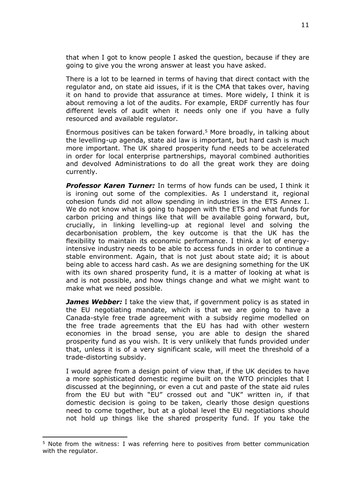that when I got to know people I asked the question, because if they are going to give you the wrong answer at least you have asked.

There is a lot to be learned in terms of having that direct contact with the regulator and, on state aid issues, if it is the CMA that takes over, having it on hand to provide that assurance at times. More widely, I think it is about removing a lot of the audits. For example, ERDF currently has four different levels of audit when it needs only one if you have a fully resourced and available regulator.

Enormous positives can be taken forward.<sup>5</sup> More broadly, in talking about the levelling-up agenda, state aid law is important, but hard cash is much more important. The UK shared prosperity fund needs to be accelerated in order for local enterprise partnerships, mayoral combined authorities and devolved Administrations to do all the great work they are doing currently.

*Professor Karen Turner:* In terms of how funds can be used, I think it is ironing out some of the complexities. As I understand it, regional cohesion funds did not allow spending in industries in the ETS Annex I. We do not know what is going to happen with the ETS and what funds for carbon pricing and things like that will be available going forward, but, crucially, in linking levelling-up at regional level and solving the decarbonisation problem, the key outcome is that the UK has the flexibility to maintain its economic performance. I think a lot of energyintensive industry needs to be able to access funds in order to continue a stable environment. Again, that is not just about state aid; it is about being able to access hard cash. As we are designing something for the UK with its own shared prosperity fund, it is a matter of looking at what is and is not possible, and how things change and what we might want to make what we need possible.

*James Webber:* I take the view that, if government policy is as stated in the EU negotiating mandate, which is that we are going to have a Canada-style free trade agreement with a subsidy regime modelled on the free trade agreements that the EU has had with other western economies in the broad sense, you are able to design the shared prosperity fund as you wish. It is very unlikely that funds provided under that, unless it is of a very significant scale, will meet the threshold of a trade-distorting subsidy.

I would agree from a design point of view that, if the UK decides to have a more sophisticated domestic regime built on the WTO principles that I discussed at the beginning, or even a cut and paste of the state aid rules from the EU but with "EU" crossed out and "UK" written in, if that domestic decision is going to be taken, clearly those design questions need to come together, but at a global level the EU negotiations should not hold up things like the shared prosperity fund. If you take the

<sup>5</sup> Note from the witness: I was referring here to positives from better communication with the regulator.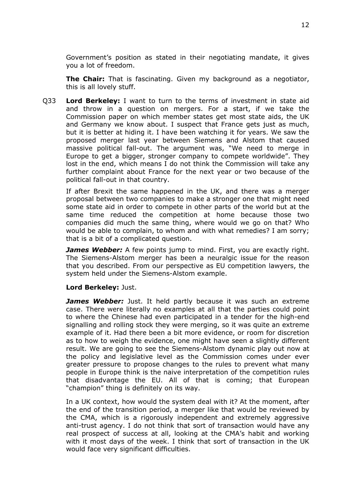Government's position as stated in their negotiating mandate, it gives you a lot of freedom.

**The Chair:** That is fascinating. Given my background as a negotiator, this is all lovely stuff.

Q33 **Lord Berkeley:** I want to turn to the terms of investment in state aid and throw in a question on mergers. For a start, if we take the Commission paper on which member states get most state aids, the UK and Germany we know about. I suspect that France gets just as much, but it is better at hiding it. I have been watching it for years. We saw the proposed merger last year between Siemens and Alstom that caused massive political fall-out. The argument was, "We need to merge in Europe to get a bigger, stronger company to compete worldwide". They lost in the end, which means I do not think the Commission will take any further complaint about France for the next year or two because of the political fall-out in that country.

If after Brexit the same happened in the UK, and there was a merger proposal between two companies to make a stronger one that might need some state aid in order to compete in other parts of the world but at the same time reduced the competition at home because those two companies did much the same thing, where would we go on that? Who would be able to complain, to whom and with what remedies? I am sorry; that is a bit of a complicated question.

**James Webber:** A few points jump to mind. First, you are exactly right. The Siemens-Alstom merger has been a neuralgic issue for the reason that you described. From our perspective as EU competition lawyers, the system held under the Siemens-Alstom example.

#### **Lord Berkeley:** Just.

*James Webber:* Just. It held partly because it was such an extreme case. There were literally no examples at all that the parties could point to where the Chinese had even participated in a tender for the high-end signalling and rolling stock they were merging, so it was quite an extreme example of it. Had there been a bit more evidence, or room for discretion as to how to weigh the evidence, one might have seen a slightly different result. We are going to see the Siemens-Alstom dynamic play out now at the policy and legislative level as the Commission comes under ever greater pressure to propose changes to the rules to prevent what many people in Europe think is the naive interpretation of the competition rules that disadvantage the EU. All of that is coming; that European "champion" thing is definitely on its way.

In a UK context, how would the system deal with it? At the moment, after the end of the transition period, a merger like that would be reviewed by the CMA, which is a rigorously independent and extremely aggressive anti-trust agency. I do not think that sort of transaction would have any real prospect of success at all, looking at the CMA's habit and working with it most days of the week. I think that sort of transaction in the UK would face very significant difficulties.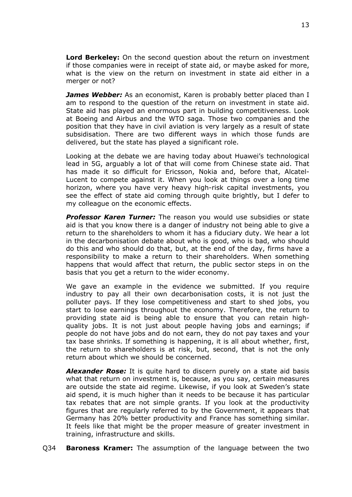**Lord Berkeley:** On the second question about the return on investment if those companies were in receipt of state aid, or maybe asked for more, what is the view on the return on investment in state aid either in a merger or not?

*James Webber:* As an economist, Karen is probably better placed than I am to respond to the question of the return on investment in state aid. State aid has played an enormous part in building competitiveness. Look at Boeing and Airbus and the WTO saga. Those two companies and the position that they have in civil aviation is very largely as a result of state subsidisation. There are two different ways in which those funds are delivered, but the state has played a significant role.

Looking at the debate we are having today about Huawei's technological lead in 5G, arguably a lot of that will come from Chinese state aid. That has made it so difficult for Ericsson, Nokia and, before that, Alcatel-Lucent to compete against it. When you look at things over a long time horizon, where you have very heavy high-risk capital investments, you see the effect of state aid coming through quite brightly, but I defer to my colleague on the economic effects.

*Professor Karen Turner:* The reason you would use subsidies or state aid is that you know there is a danger of industry not being able to give a return to the shareholders to whom it has a fiduciary duty. We hear a lot in the decarbonisation debate about who is good, who is bad, who should do this and who should do that, but, at the end of the day, firms have a responsibility to make a return to their shareholders. When something happens that would affect that return, the public sector steps in on the basis that you get a return to the wider economy.

We gave an example in the evidence we submitted. If you require industry to pay all their own decarbonisation costs, it is not just the polluter pays. If they lose competitiveness and start to shed jobs, you start to lose earnings throughout the economy. Therefore, the return to providing state aid is being able to ensure that you can retain highquality jobs. It is not just about people having jobs and earnings; if people do not have jobs and do not earn, they do not pay taxes and your tax base shrinks. If something is happening, it is all about whether, first, the return to shareholders is at risk, but, second, that is not the only return about which we should be concerned.

*Alexander Rose:* It is quite hard to discern purely on a state aid basis what that return on investment is, because, as you say, certain measures are outside the state aid regime. Likewise, if you look at Sweden's state aid spend, it is much higher than it needs to be because it has particular tax rebates that are not simple grants. If you look at the productivity figures that are regularly referred to by the Government, it appears that Germany has 20% better productivity and France has something similar. It feels like that might be the proper measure of greater investment in training, infrastructure and skills.

Q34 **Baroness Kramer:** The assumption of the language between the two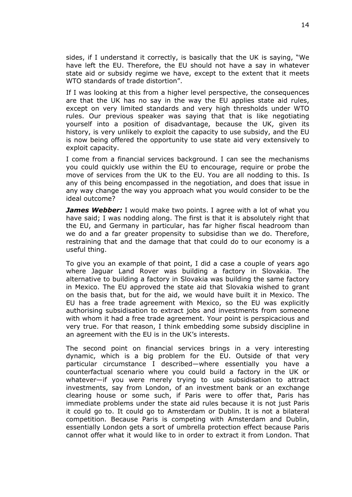sides, if I understand it correctly, is basically that the UK is saying, "We have left the EU. Therefore, the EU should not have a say in whatever state aid or subsidy regime we have, except to the extent that it meets WTO standards of trade distortion".

If I was looking at this from a higher level perspective, the consequences are that the UK has no say in the way the EU applies state aid rules, except on very limited standards and very high thresholds under WTO rules. Our previous speaker was saying that that is like negotiating yourself into a position of disadvantage, because the UK, given its history, is very unlikely to exploit the capacity to use subsidy, and the EU is now being offered the opportunity to use state aid very extensively to exploit capacity.

I come from a financial services background. I can see the mechanisms you could quickly use within the EU to encourage, require or probe the move of services from the UK to the EU. You are all nodding to this. Is any of this being encompassed in the negotiation, and does that issue in any way change the way you approach what you would consider to be the ideal outcome?

*James Webber:* I would make two points. I agree with a lot of what you have said; I was nodding along. The first is that it is absolutely right that the EU, and Germany in particular, has far higher fiscal headroom than we do and a far greater propensity to subsidise than we do. Therefore, restraining that and the damage that that could do to our economy is a useful thing.

To give you an example of that point, I did a case a couple of years ago where Jaguar Land Rover was building a factory in Slovakia. The alternative to building a factory in Slovakia was building the same factory in Mexico. The EU approved the state aid that Slovakia wished to grant on the basis that, but for the aid, we would have built it in Mexico. The EU has a free trade agreement with Mexico, so the EU was explicitly authorising subsidisation to extract jobs and investments from someone with whom it had a free trade agreement. Your point is perspicacious and very true. For that reason, I think embedding some subsidy discipline in an agreement with the EU is in the UK's interests.

The second point on financial services brings in a very interesting dynamic, which is a big problem for the EU. Outside of that very particular circumstance I described—where essentially you have a counterfactual scenario where you could build a factory in the UK or whatever—if you were merely trying to use subsidisation to attract investments, say from London, of an investment bank or an exchange clearing house or some such, if Paris were to offer that, Paris has immediate problems under the state aid rules because it is not just Paris it could go to. It could go to Amsterdam or Dublin. It is not a bilateral competition. Because Paris is competing with Amsterdam and Dublin, essentially London gets a sort of umbrella protection effect because Paris cannot offer what it would like to in order to extract it from London. That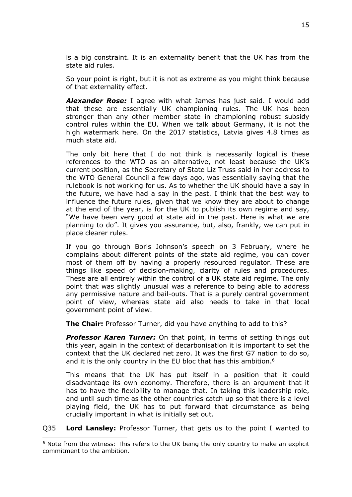is a big constraint. It is an externality benefit that the UK has from the state aid rules.

So your point is right, but it is not as extreme as you might think because of that externality effect.

*Alexander Rose:* I agree with what James has just said. I would add that these are essentially UK championing rules. The UK has been stronger than any other member state in championing robust subsidy control rules within the EU. When we talk about Germany, it is not the high watermark here. On the 2017 statistics, Latvia gives 4.8 times as much state aid.

The only bit here that I do not think is necessarily logical is these references to the WTO as an alternative, not least because the UK's current position, as the Secretary of State Liz Truss said in her address to the WTO General Council a few days ago, was essentially saying that the rulebook is not working for us. As to whether the UK should have a say in the future, we have had a say in the past. I think that the best way to influence the future rules, given that we know they are about to change at the end of the year, is for the UK to publish its own regime and say, "We have been very good at state aid in the past. Here is what we are planning to do". It gives you assurance, but, also, frankly, we can put in place clearer rules.

If you go through Boris Johnson's speech on 3 February, where he complains about different points of the state aid regime, you can cover most of them off by having a properly resourced regulator. These are things like speed of decision-making, clarity of rules and procedures. These are all entirely within the control of a UK state aid regime. The only point that was slightly unusual was a reference to being able to address any permissive nature and bail-outs. That is a purely central government point of view, whereas state aid also needs to take in that local government point of view.

**The Chair:** Professor Turner, did you have anything to add to this?

*Professor Karen Turner:* On that point, in terms of setting things out this year, again in the context of decarbonisation it is important to set the context that the UK declared net zero. It was the first G7 nation to do so, and it is the only country in the EU bloc that has this ambition.<sup>6</sup>

This means that the UK has put itself in a position that it could disadvantage its own economy. Therefore, there is an argument that it has to have the flexibility to manage that. In taking this leadership role, and until such time as the other countries catch up so that there is a level playing field, the UK has to put forward that circumstance as being crucially important in what is initially set out.

Q35 **Lord Lansley:** Professor Turner, that gets us to the point I wanted to

<sup>6</sup> Note from the witness: This refers to the UK being the only country to make an explicit commitment to the ambition.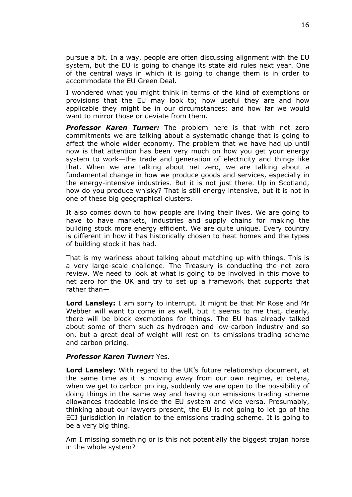pursue a bit. In a way, people are often discussing alignment with the EU system, but the EU is going to change its state aid rules next year. One of the central ways in which it is going to change them is in order to accommodate the EU Green Deal.

I wondered what you might think in terms of the kind of exemptions or provisions that the EU may look to; how useful they are and how applicable they might be in our circumstances; and how far we would want to mirror those or deviate from them.

*Professor Karen Turner:* The problem here is that with net zero commitments we are talking about a systematic change that is going to affect the whole wider economy. The problem that we have had up until now is that attention has been very much on how you get your energy system to work—the trade and generation of electricity and things like that. When we are talking about net zero, we are talking about a fundamental change in how we produce goods and services, especially in the energy-intensive industries. But it is not just there. Up in Scotland, how do you produce whisky? That is still energy intensive, but it is not in one of these big geographical clusters.

It also comes down to how people are living their lives. We are going to have to have markets, industries and supply chains for making the building stock more energy efficient. We are quite unique. Every country is different in how it has historically chosen to heat homes and the types of building stock it has had.

That is my wariness about talking about matching up with things. This is a very large-scale challenge. The Treasury is conducting the net zero review. We need to look at what is going to be involved in this move to net zero for the UK and try to set up a framework that supports that rather than—

**Lord Lansley:** I am sorry to interrupt. It might be that Mr Rose and Mr Webber will want to come in as well, but it seems to me that, clearly, there will be block exemptions for things. The EU has already talked about some of them such as hydrogen and low-carbon industry and so on, but a great deal of weight will rest on its emissions trading scheme and carbon pricing.

#### *Professor Karen Turner:* Yes.

**Lord Lansley:** With regard to the UK's future relationship document, at the same time as it is moving away from our own regime, et cetera, when we get to carbon pricing, suddenly we are open to the possibility of doing things in the same way and having our emissions trading scheme allowances tradeable inside the EU system and vice versa. Presumably, thinking about our lawyers present, the EU is not going to let go of the ECJ jurisdiction in relation to the emissions trading scheme. It is going to be a very big thing.

Am I missing something or is this not potentially the biggest trojan horse in the whole system?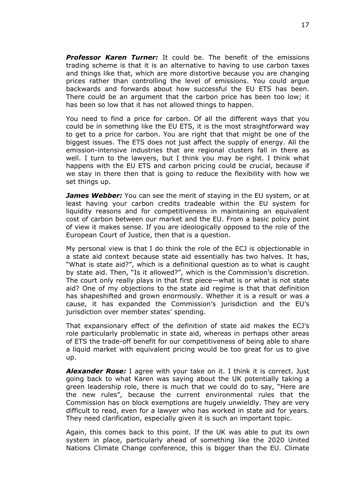*Professor Karen Turner:* It could be. The benefit of the emissions trading scheme is that it is an alternative to having to use carbon taxes and things like that, which are more distortive because you are changing prices rather than controlling the level of emissions. You could argue backwards and forwards about how successful the EU ETS has been. There could be an argument that the carbon price has been too low; it has been so low that it has not allowed things to happen.

You need to find a price for carbon. Of all the different ways that you could be in something like the EU ETS, it is the most straightforward way to get to a price for carbon. You are right that that might be one of the biggest issues. The ETS does not just affect the supply of energy. All the emission-intensive industries that are regional clusters fall in there as well. I turn to the lawyers, but I think you may be right. I think what happens with the EU ETS and carbon pricing could be crucial, because if we stay in there then that is going to reduce the flexibility with how we set things up.

*James Webber:* You can see the merit of staying in the EU system, or at least having your carbon credits tradeable within the EU system for liquidity reasons and for competitiveness in maintaining an equivalent cost of carbon between our market and the EU. From a basic policy point of view it makes sense. If you are ideologically opposed to the role of the European Court of Justice, then that is a question.

My personal view is that I do think the role of the ECJ is objectionable in a state aid context because state aid essentially has two halves. It has, "What is state aid?", which is a definitional question as to what is caught by state aid. Then, "Is it allowed?", which is the Commission's discretion. The court only really plays in that first piece—what is or what is not state aid? One of my objections to the state aid regime is that that definition has shapeshifted and grown enormously. Whether it is a result or was a cause, it has expanded the Commission's jurisdiction and the EU's jurisdiction over member states' spending.

That expansionary effect of the definition of state aid makes the ECJ's role particularly problematic in state aid, whereas in perhaps other areas of ETS the trade-off benefit for our competitiveness of being able to share a liquid market with equivalent pricing would be too great for us to give up.

*Alexander Rose:* I agree with your take on it. I think it is correct. Just going back to what Karen was saying about the UK potentially taking a green leadership role, there is much that we could do to say, "Here are the new rules", because the current environmental rules that the Commission has on block exemptions are hugely unwieldly. They are very difficult to read, even for a lawyer who has worked in state aid for years. They need clarification, especially given it is such an important topic.

Again, this comes back to this point. If the UK was able to put its own system in place, particularly ahead of something like the 2020 United Nations Climate Change conference, this is bigger than the EU. Climate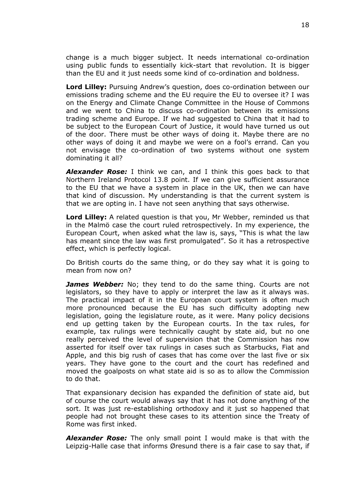change is a much bigger subject. It needs international co-ordination using public funds to essentially kick-start that revolution. It is bigger than the EU and it just needs some kind of co-ordination and boldness.

**Lord Lilley:** Pursuing Andrew's question, does co-ordination between our emissions trading scheme and the EU require the EU to oversee it? I was on the Energy and Climate Change Committee in the House of Commons and we went to China to discuss co-ordination between its emissions trading scheme and Europe. If we had suggested to China that it had to be subject to the European Court of Justice, it would have turned us out of the door. There must be other ways of doing it. Maybe there are no other ways of doing it and maybe we were on a fool's errand. Can you not envisage the co-ordination of two systems without one system dominating it all?

*Alexander Rose:* I think we can, and I think this goes back to that Northern Ireland Protocol 13.8 point. If we can give sufficient assurance to the EU that we have a system in place in the UK, then we can have that kind of discussion. My understanding is that the current system is that we are opting in. I have not seen anything that says otherwise.

**Lord Lilley:** A related question is that you, Mr Webber, reminded us that in the Malmö case the court ruled retrospectively. In my experience, the European Court, when asked what the law is, says, "This is what the law has meant since the law was first promulgated". So it has a retrospective effect, which is perfectly logical.

Do British courts do the same thing, or do they say what it is going to mean from now on?

*James Webber:* No; they tend to do the same thing. Courts are not legislators, so they have to apply or interpret the law as it always was. The practical impact of it in the European court system is often much more pronounced because the EU has such difficulty adopting new legislation, going the legislature route, as it were. Many policy decisions end up getting taken by the European courts. In the tax rules, for example, tax rulings were technically caught by state aid, but no one really perceived the level of supervision that the Commission has now asserted for itself over tax rulings in cases such as Starbucks, Fiat and Apple, and this big rush of cases that has come over the last five or six years. They have gone to the court and the court has redefined and moved the goalposts on what state aid is so as to allow the Commission to do that.

That expansionary decision has expanded the definition of state aid, but of course the court would always say that it has not done anything of the sort. It was just re-establishing orthodoxy and it just so happened that people had not brought these cases to its attention since the Treaty of Rome was first inked.

*Alexander Rose:* The only small point I would make is that with the Leipzig-Halle case that informs Øresund there is a fair case to say that, if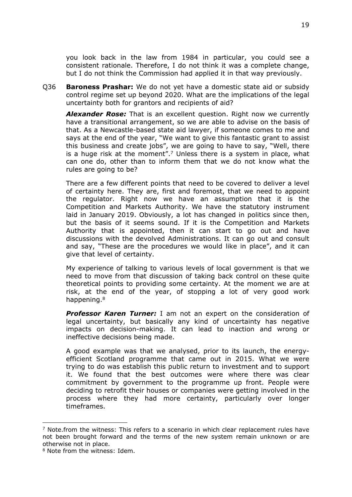you look back in the law from 1984 in particular, you could see a consistent rationale. Therefore, I do not think it was a complete change, but I do not think the Commission had applied it in that way previously.

Q36 **Baroness Prashar:** We do not yet have a domestic state aid or subsidy control regime set up beyond 2020. What are the implications of the legal uncertainty both for grantors and recipients of aid?

*Alexander Rose:* That is an excellent question. Right now we currently have a transitional arrangement, so we are able to advise on the basis of that. As a Newcastle-based state aid lawyer, if someone comes to me and says at the end of the year, "We want to give this fantastic grant to assist this business and create jobs", we are going to have to say, "Well, there is a huge risk at the moment".<sup>7</sup> Unless there is a system in place, what can one do, other than to inform them that we do not know what the rules are going to be?

There are a few different points that need to be covered to deliver a level of certainty here. They are, first and foremost, that we need to appoint the regulator. Right now we have an assumption that it is the Competition and Markets Authority. We have the statutory instrument laid in January 2019. Obviously, a lot has changed in politics since then, but the basis of it seems sound. If it is the Competition and Markets Authority that is appointed, then it can start to go out and have discussions with the devolved Administrations. It can go out and consult and say, "These are the procedures we would like in place", and it can give that level of certainty.

My experience of talking to various levels of local government is that we need to move from that discussion of taking back control on these quite theoretical points to providing some certainty. At the moment we are at risk, at the end of the year, of stopping a lot of very good work happening.<sup>8</sup>

*Professor Karen Turner:* I am not an expert on the consideration of legal uncertainty, but basically any kind of uncertainty has negative impacts on decision-making. It can lead to inaction and wrong or ineffective decisions being made.

A good example was that we analysed, prior to its launch, the energyefficient Scotland programme that came out in 2015. What we were trying to do was establish this public return to investment and to support it. We found that the best outcomes were where there was clear commitment by government to the programme up front. People were deciding to retrofit their houses or companies were getting involved in the process where they had more certainty, particularly over longer timeframes.

 $<sup>7</sup>$  Note.from the witness: This refers to a scenario in which clear replacement rules have</sup> not been brought forward and the terms of the new system remain unknown or are otherwise not in place.

<sup>8</sup> Note from the witness: Idem.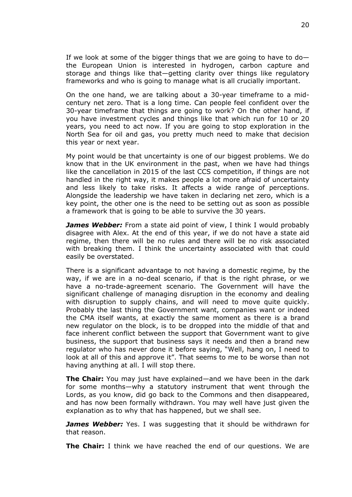If we look at some of the bigger things that we are going to have to do the European Union is interested in hydrogen, carbon capture and storage and things like that—getting clarity over things like regulatory frameworks and who is going to manage what is all crucially important.

On the one hand, we are talking about a 30-year timeframe to a midcentury net zero. That is a long time. Can people feel confident over the 30-year timeframe that things are going to work? On the other hand, if you have investment cycles and things like that which run for 10 or 20 years, you need to act now. If you are going to stop exploration in the North Sea for oil and gas, you pretty much need to make that decision this year or next year.

My point would be that uncertainty is one of our biggest problems. We do know that in the UK environment in the past, when we have had things like the cancellation in 2015 of the last CCS competition, if things are not handled in the right way, it makes people a lot more afraid of uncertainty and less likely to take risks. It affects a wide range of perceptions. Alongside the leadership we have taken in declaring net zero, which is a key point, the other one is the need to be setting out as soon as possible a framework that is going to be able to survive the 30 years.

*James Webber:* From a state aid point of view, I think I would probably disagree with Alex. At the end of this year, if we do not have a state aid regime, then there will be no rules and there will be no risk associated with breaking them. I think the uncertainty associated with that could easily be overstated.

There is a significant advantage to not having a domestic regime, by the way, if we are in a no-deal scenario, if that is the right phrase, or we have a no-trade-agreement scenario. The Government will have the significant challenge of managing disruption in the economy and dealing with disruption to supply chains, and will need to move quite quickly. Probably the last thing the Government want, companies want or indeed the CMA itself wants, at exactly the same moment as there is a brand new regulator on the block, is to be dropped into the middle of that and face inherent conflict between the support that Government want to give business, the support that business says it needs and then a brand new regulator who has never done it before saying, "Well, hang on, I need to look at all of this and approve it". That seems to me to be worse than not having anything at all. I will stop there.

**The Chair:** You may just have explained—and we have been in the dark for some months—why a statutory instrument that went through the Lords, as you know, did go back to the Commons and then disappeared, and has now been formally withdrawn. You may well have just given the explanation as to why that has happened, but we shall see.

*James Webber:* Yes. I was suggesting that it should be withdrawn for that reason.

**The Chair:** I think we have reached the end of our questions. We are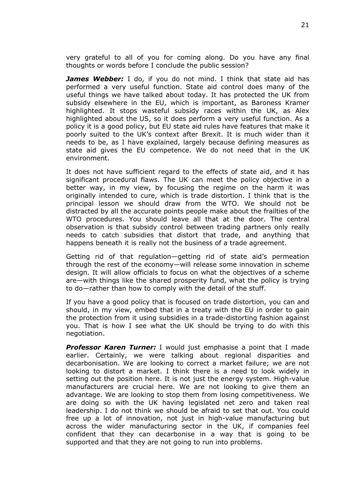very grateful to all of you for coming along. Do you have any final thoughts or words before I conclude the public session?

*James Webber:* I do, if you do not mind. I think that state aid has performed a very useful function. State aid control does many of the useful things we have talked about today. It has protected the UK from subsidy elsewhere in the EU, which is important, as Baroness Kramer highlighted. It stops wasteful subsidy races within the UK, as Alex highlighted about the US, so it does perform a very useful function. As a policy it is a good policy, but EU state aid rules have features that make it poorly suited to the UK's context after Brexit. It is much wider than it needs to be, as I have explained, largely because defining measures as state aid gives the EU competence. We do not need that in the UK environment.

It does not have sufficient regard to the effects of state aid, and it has significant procedural flaws. The UK can meet the policy objective in a better way, in my view, by focusing the regime on the harm it was originally intended to cure, which is trade distortion. I think that is the principal lesson we should draw from the WTO. We should not be distracted by all the accurate points people make about the frailties of the WTO procedures. You should leave all that at the door. The central observation is that subsidy control between trading partners only really needs to catch subsidies that distort that trade, and anything that happens beneath it is really not the business of a trade agreement.

Getting rid of that regulation—getting rid of state aid's permeation through the rest of the economy—will release some innovation in scheme design. It will allow officials to focus on what the objectives of a scheme are—with things like the shared prosperity fund, what the policy is trying to do—rather than how to comply with the detail of the stuff.

If you have a good policy that is focused on trade distortion, you can and should, in my view, embed that in a treaty with the EU in order to gain the protection from it using subsidies in a trade-distorting fashion against you. That is how I see what the UK should be trying to do with this negotiation.

*Professor Karen Turner:* I would just emphasise a point that I made earlier. Certainly, we were talking about regional disparities and decarbonisation. We are looking to correct a market failure; we are not looking to distort a market. I think there is a need to look widely in setting out the position here. It is not just the energy system. High-value manufacturers are crucial here. We are not looking to give them an advantage. We are looking to stop them from losing competitiveness. We are doing so with the UK having legislated net zero and taken real leadership. I do not think we should be afraid to set that out. You could free up a lot of innovation, not just in high-value manufacturing but across the wider manufacturing sector in the UK, if companies feel confident that they can decarbonise in a way that is going to be supported and that they are not going to run into problems.